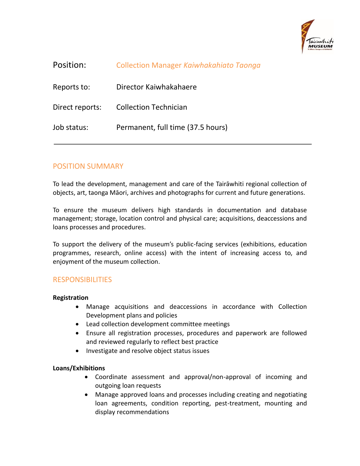

| Position:       | Collection Manager Kaiwhakahiato Taonga |
|-----------------|-----------------------------------------|
| Reports to:     | Director Kaiwhakahaere                  |
| Direct reports: | <b>Collection Technician</b>            |
| Job status:     | Permanent, full time (37.5 hours)       |

## POSITION SUMMARY

To lead the development, management and care of the Tairāwhiti regional collection of objects, art, taonga Māori, archives and photographs for current and future generations.

To ensure the museum delivers high standards in documentation and database management; storage, location control and physical care; acquisitions, deaccessions and loans processes and procedures.

To support the delivery of the museum's public-facing services (exhibitions, education programmes, research, online access) with the intent of increasing access to, and enjoyment of the museum collection.

### RESPONSIBILITIES

#### **Registration**

- Manage acquisitions and deaccessions in accordance with Collection Development plans and policies
- Lead collection development committee meetings
- Ensure all registration processes, procedures and paperwork are followed and reviewed regularly to reflect best practice
- Investigate and resolve object status issues

#### **Loans/Exhibitions**

- Coordinate assessment and approval/non-approval of incoming and outgoing loan requests
- Manage approved loans and processes including creating and negotiating loan agreements, condition reporting, pest-treatment, mounting and display recommendations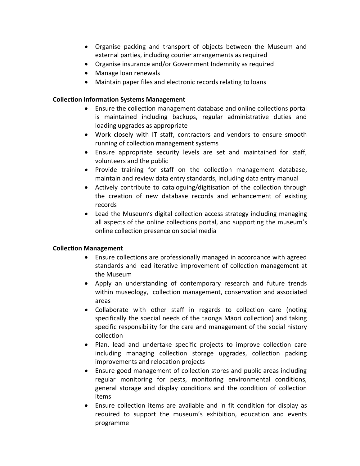- Organise packing and transport of objects between the Museum and external parties, including courier arrangements as required
- Organise insurance and/or Government Indemnity as required
- Manage loan renewals
- Maintain paper files and electronic records relating to loans

### **Collection Information Systems Management**

- Ensure the collection management database and online collections portal is maintained including backups, regular administrative duties and loading upgrades as appropriate
- Work closely with IT staff, contractors and vendors to ensure smooth running of collection management systems
- Ensure appropriate security levels are set and maintained for staff, volunteers and the public
- Provide training for staff on the collection management database, maintain and review data entry standards, including data entry manual
- Actively contribute to cataloguing/digitisation of the collection through the creation of new database records and enhancement of existing records
- Lead the Museum's digital collection access strategy including managing all aspects of the online collections portal, and supporting the museum's online collection presence on social media

### **Collection Management**

- Ensure collections are professionally managed in accordance with agreed standards and lead iterative improvement of collection management at the Museum
- Apply an understanding of contemporary research and future trends within museology, collection management, conservation and associated areas
- Collaborate with other staff in regards to collection care (noting specifically the special needs of the taonga Māori collection) and taking specific responsibility for the care and management of the social history collection
- Plan, lead and undertake specific projects to improve collection care including managing collection storage upgrades, collection packing improvements and relocation projects
- Ensure good management of collection stores and public areas including regular monitoring for pests, monitoring environmental conditions, general storage and display conditions and the condition of collection items
- Ensure collection items are available and in fit condition for display as required to support the museum's exhibition, education and events programme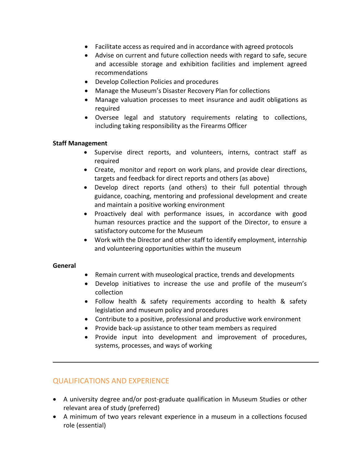- Facilitate access as required and in accordance with agreed protocols
- Advise on current and future collection needs with regard to safe, secure and accessible storage and exhibition facilities and implement agreed recommendations
- Develop Collection Policies and procedures
- Manage the Museum's Disaster Recovery Plan for collections
- Manage valuation processes to meet insurance and audit obligations as required
- Oversee legal and statutory requirements relating to collections, including taking responsibility as the Firearms Officer

#### **Staff Management**

- Supervise direct reports, and volunteers, interns, contract staff as required
- Create, monitor and report on work plans, and provide clear directions, targets and feedback for direct reports and others (as above)
- Develop direct reports (and others) to their full potential through guidance, coaching, mentoring and professional development and create and maintain a positive working environment
- Proactively deal with performance issues, in accordance with good human resources practice and the support of the Director, to ensure a satisfactory outcome for the Museum
- Work with the Director and other staff to identify employment, internship and volunteering opportunities within the museum

#### **General**

- Remain current with museological practice, trends and developments
- Develop initiatives to increase the use and profile of the museum's collection
- Follow health & safety requirements according to health & safety legislation and museum policy and procedures
- Contribute to a positive, professional and productive work environment
- Provide back-up assistance to other team members as required
- Provide input into development and improvement of procedures, systems, processes, and ways of working

## QUALIFICATIONS AND EXPERIENCE

- A university degree and/or post-graduate qualification in Museum Studies or other relevant area of study (preferred)
- A minimum of two years relevant experience in a museum in a collections focused role (essential)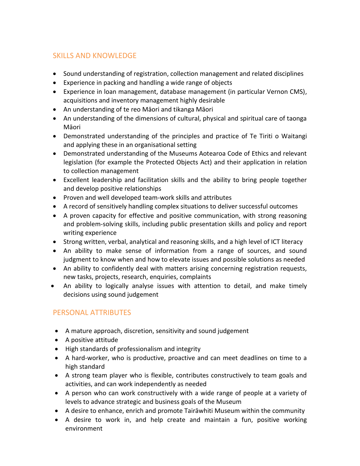# SKILLS AND KNOWLEDGE

- Sound understanding of registration, collection management and related disciplines
- Experience in packing and handling a wide range of objects
- Experience in loan management, database management (in particular Vernon CMS), acquisitions and inventory management highly desirable
- An understanding of te reo Māori and tikanga Māori
- An understanding of the dimensions of cultural, physical and spiritual care of taonga Māori
- Demonstrated understanding of the principles and practice of Te Tiriti o Waitangi and applying these in an organisational setting
- Demonstrated understanding of the Museums Aotearoa Code of Ethics and relevant legislation (for example the Protected Objects Act) and their application in relation to collection management
- Excellent leadership and facilitation skills and the ability to bring people together and develop positive relationships
- Proven and well developed team-work skills and attributes
- A record of sensitively handling complex situations to deliver successful outcomes
- A proven capacity for effective and positive communication, with strong reasoning and problem-solving skills, including public presentation skills and policy and report writing experience
- Strong written, verbal, analytical and reasoning skills, and a high level of ICT literacy
- An ability to make sense of information from a range of sources, and sound judgment to know when and how to elevate issues and possible solutions as needed
- An ability to confidently deal with matters arising concerning registration requests, new tasks, projects, research, enquiries, complaints
- An ability to logically analyse issues with attention to detail, and make timely decisions using sound judgement

## PERSONAL ATTRIBUTES

- A mature approach, discretion, sensitivity and sound judgement
- A positive attitude
- High standards of professionalism and integrity
- A hard-worker, who is productive, proactive and can meet deadlines on time to a high standard
- A strong team player who is flexible, contributes constructively to team goals and activities, and can work independently as needed
- A person who can work constructively with a wide range of people at a variety of levels to advance strategic and business goals of the Museum
- A desire to enhance, enrich and promote Tairāwhiti Museum within the community
- A desire to work in, and help create and maintain a fun, positive working environment